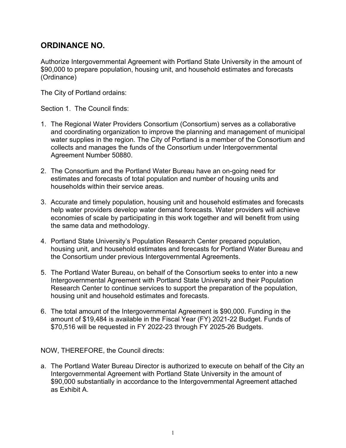# **ORDINANCE NO.**

Authorize Intergovernmental Agreement with Portland State University in the amount of \$90,000 to prepare population, housing unit, and household estimates and forecasts (Ordinance)

The City of Portland ordains:

Section 1. The Council finds:

- 1. The Regional Water Providers Consortium (Consortium) serves as a collaborative and coordinating organization to improve the planning and management of municipal water supplies in the region. The City of Portland is a member of the Consortium and collects and manages the funds of the Consortium under Intergovernmental Agreement Number 50880.
- 2. The Consortium and the Portland Water Bureau have an on-going need for estimates and forecasts of total population and number of housing units and households within their service areas.
- 3. Accurate and timely population, housing unit and household estimates and forecasts help water providers develop water demand forecasts. Water providers will achieve economies of scale by participating in this work together and will benefit from using the same data and methodology.
- 4. Portland State University's Population Research Center prepared population, housing unit, and household estimates and forecasts for Portland Water Bureau and the Consortium under previous Intergovernmental Agreements.
- 5. The Portland Water Bureau, on behalf of the Consortium seeks to enter into a new Intergovernmental Agreement with Portland State University and their Population Research Center to continue services to support the preparation of the population, housing unit and household estimates and forecasts.
- 6. The total amount of the Intergovernmental Agreement is \$90,000. Funding in the amount of \$19,484 is available in the Fiscal Year (FY) 2021-22 Budget. Funds of \$70,516 will be requested in FY 2022-23 through FY 2025-26 Budgets.

NOW, THEREFORE, the Council directs:

a. The Portland Water Bureau Director is authorized to execute on behalf of the City an Intergovernmental Agreement with Portland State University in the amount of \$90,000 substantially in accordance to the Intergovernmental Agreement attached as Exhibit A.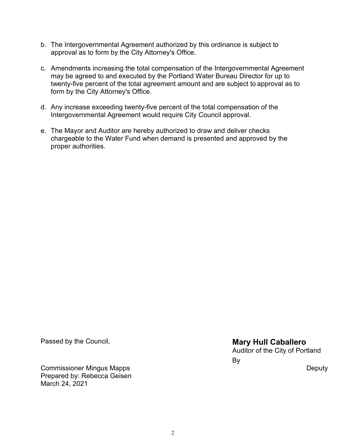- b. The Intergovernmental Agreement authorized by this ordinance is subject to approval as to form by the City Attorney's Office.
- c. Amendments increasing the total compensation of the Intergovernmental Agreement may be agreed to and executed by the Portland Water Bureau Director for up to twenty-five percent of the total agreement amount and are subject to approval as to form by the City Attorney's Office.
- d. Any increase exceeding twenty-five percent of the total compensation of the Intergovernmental Agreement would require City Council approval.
- e. The Mayor and Auditor are hereby authorized to draw and deliver checks chargeable to the Water Fund when demand is presented and approved by the proper authorities.

Commissioner Mingus Mapps Prepared by: Rebecca Geisen March 24, 2021

Passed by the Council, **Mary Hull Caballero Mary Hull Caballero** Auditor of the City of Portland By

**Deputy**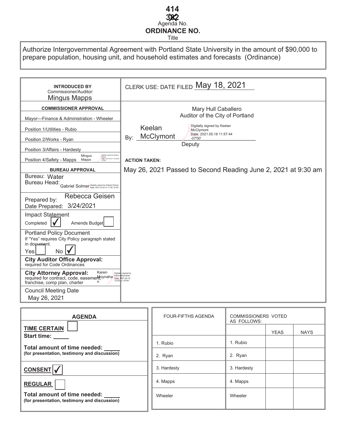# Agenda No. **382 ORDINANCE NO.** Title **414**

Authorize Intergovernmental Agreement with Portland State University in the amount of \$90,000 to prepare population, housing unit, and household estimates and forecasts (Ordinance)

| <b>INTRODUCED BY</b><br>Commissioner/Auditor:<br>Mingus Mapps                                                                       | CLERK USE: DATE FILED May 18, 2021                            |
|-------------------------------------------------------------------------------------------------------------------------------------|---------------------------------------------------------------|
| <b>COMMISSIONER APPROVAL</b>                                                                                                        | Mary Hull Caballero                                           |
| Mayor-Finance & Administration - Wheeler                                                                                            | Auditor of the City of Portland                               |
| Position 1/Utilities - Rubio                                                                                                        | Digitally signed by Keelan<br>Keelan<br>McClymont             |
| Position 2/Works - Ryan                                                                                                             | Date: 2021.05.18 11:57:44<br>McClymont<br>By:<br>$-07'00'$    |
| Position 3/Affairs - Hardesty                                                                                                       | Deputy                                                        |
| Mingus<br>Digitally signed by Mingu<br>Mapps<br>Date: 2021.04.21 12:39:56<br>Position 4/Safety - Mapps Mapps                        | <b>ACTION TAKEN:</b>                                          |
| <b>BUREAU APPROVAL</b>                                                                                                              | May 26, 2021 Passed to Second Reading June 2, 2021 at 9:30 am |
| Bureau: Water<br>Bureau Head:<br>Gabriel Solmer Digitally signed by Gabriel Solmer                                                  |                                                               |
| Rebecca Geisen<br>Prepared by:                                                                                                      |                                                               |
| Date Prepared: 3/24/2021                                                                                                            |                                                               |
| Impact Statement<br>Amends Budget<br>Completed                                                                                      |                                                               |
| <b>Portland Policy Document</b><br>If "Yes" requires City Policy paragraph stated<br>in document.                                   |                                                               |
| No I<br>Yesl                                                                                                                        |                                                               |
| <b>City Auditor Office Approval:</b><br>required for Code Ordinances                                                                |                                                               |
| Karen<br><b>City Attorney Approval:</b><br>Digital<br>required for contract, code, easemer Moynaha<br>franchise, comp plan, charter | y signed by<br>Moynahan<br>021.04.15<br>14:33:12 -07'00"      |
| <b>Council Meeting Date</b><br>May 26, 2021                                                                                         |                                                               |

| <b>AGENDA</b>                                                                | <b>FOUR-FIFTHS AGENDA</b> | <b>COMMISSIONERS VOTED</b><br>AS FOLLOWS: |  |  |
|------------------------------------------------------------------------------|---------------------------|-------------------------------------------|--|--|
| <b>TIME CERTAIN</b><br><b>Start time:</b>                                    |                           | <b>YEAS</b><br><b>NAYS</b>                |  |  |
| Total amount of time needed:                                                 | 1. Rubio                  | 1. Rubio                                  |  |  |
| (for presentation, testimony and discussion)                                 | 2. Ryan                   | 2. Ryan                                   |  |  |
| <b>CONSENT</b>                                                               | 3. Hardesty               | 3. Hardesty                               |  |  |
| <b>REGULAR</b>                                                               | 4. Mapps                  | 4. Mapps                                  |  |  |
| Total amount of time needed:<br>(for presentation, testimony and discussion) | Wheeler                   | Wheeler                                   |  |  |
|                                                                              |                           |                                           |  |  |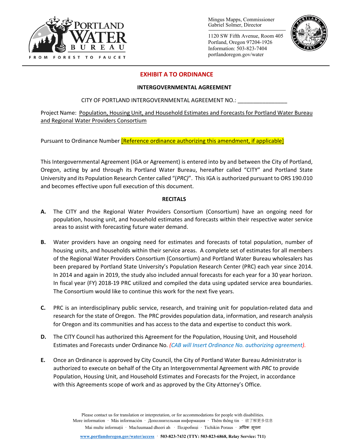

Mingus Mapps, Commissioner Gabriel Solmer, Director

1120 SW Fifth Avenue, Room 405 Portland, Oregon 97204-1926 Information: 503-823-7404 portlandoregon.gov/water



## **EXHIBIT A TO ORDINANCE**

#### **INTERGOVERNMENTAL AGREEMENT**

## CITY OF PORTLAND INTERGOVERNMENTAL AGREEMENT NO.:

Project Name: Population, Housing Unit, and Household Estimates and Forecasts for Portland Water Bureau and Regional Water Providers Consortium

Pursuant to Ordinance Number **[Reference ordinance authorizing this amendment, if applicable]** 

This Intergovernmental Agreement (IGA or Agreement) is entered into by and between the City of Portland, Oregon, acting by and through its Portland Water Bureau, hereafter called "CITY" and Portland State University and its Population Research Center called "(*PRC)*". This IGA is authorized pursuant to ORS 190.010 and becomes effective upon full execution of this document.

## **RECITALS**

- **A.** The CITY and the Regional Water Providers Consortium (Consortium) have an ongoing need for population, housing unit, and household estimates and forecasts within their respective water service areas to assist with forecasting future water demand.
- **B.** Water providers have an ongoing need for estimates and forecasts of total population, number of housing units, and households within their service areas. A complete set of estimates for all members of the Regional Water Providers Consortium (Consortium) and Portland Water Bureau wholesalers has been prepared by Portland State University's Population Research Center (PRC) each year since 2014. In 2014 and again in 2019, the study also included annual forecasts for each year for a 30 year horizon. In fiscal year (FY) 2018-19 PRC utilized and compiled the data using updated service area boundaries. The Consortium would like to continue this work for the next five years.
- **C.** PRC is an interdisciplinary public service, research, and training unit for population-related data and research for the state of Oregon. The PRC provides population data, information, and research analysis for Oregon and its communities and has access to the data and expertise to conduct this work.
- **D.** The CITY Council has authorized this Agreement for the Population, Housing Unit, and Household Estimates and Forecasts under Ordinance No. *(CAB will Insert Ordinance No. authorizing agreement).*
- **E.** Once an Ordinance is approved by City Council, the City of Portland Water Bureau Administrator is authorized to execute on behalf of the City an Intergovernmental Agreement with *PRC* to provide Population, Housing Unit, and Household Estimates and Forecasts for the Project, in accordance with this Agreements scope of work and as approved by the City Attorney's Office.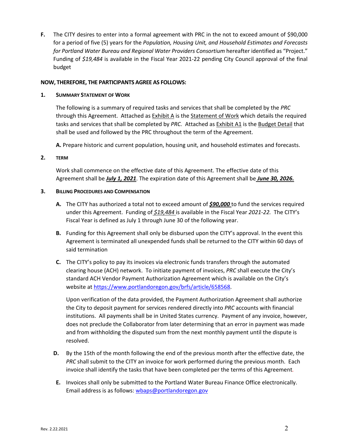**F.** The CITY desires to enter into a formal agreement with PRC in the not to exceed amount of \$90,000 for a period of five (5) years for the *Population, Housing Unit, and Household Estimates and Forecasts for Portland Water Bureau and Regional Water Providers Consortium* hereafter identified as "Project." Funding of *\$19,484* is available in the Fiscal Year 2021-22 pending City Council approval of the final budget

## **NOW, THEREFORE, THE PARTICIPANTS AGREE AS FOLLOWS:**

#### **1. SUMMARY STATEMENT OF WORK**

The following is a summary of required tasks and services that shall be completed by the *PRC* through this Agreement. Attached as Exhibit A is the Statement of Work which details the required tasks and services that shall be completed by *PRC.* Attached as Exhibit A1 is the Budget Detail that shall be used and followed by the PRC throughout the term of the Agreement.

**A.** Prepare historic and current population, housing unit, and household estimates and forecasts.

## **2. TERM**

Work shall commence on the effective date of this Agreement. The effective date of this Agreement shall be *July 1, 2021*. The expiration date of this Agreement shall be *June 30, 2026.*

## **3. BILLING PROCEDURES AND COMPENSATION**

- **A.** The CITY has authorized a total not to exceed amount of *\$90,000* to fund the services required under this Agreement. Funding of *\$19,484* is available in the Fiscal Year *2021-22.* The CITY's Fiscal Year is defined as July 1 through June 30 of the following year.
- **B.** Funding for this Agreement shall only be disbursed upon the CITY's approval. In the event this Agreement is terminated all unexpended funds shall be returned to the CITY within 60 days of said termination
- **C.** The CITY's policy to pay its invoices via electronic funds transfers through the automated clearing house (ACH) network. To initiate payment of invoices, *PRC* shall execute the City's standard ACH Vendor Payment Authorization Agreement which is available on the City's website at [https://www.portlandoregon.gov/brfs/article/658568.](https://www.portlandoregon.gov/brfs/article/658568)

Upon verification of the data provided, the Payment Authorization Agreement shall authorize the City to deposit payment for services rendered directly into *PRC* accounts with financial institutions. All payments shall be in United States currency. Payment of any invoice, however, does not preclude the Collaborator from later determining that an error in payment was made and from withholding the disputed sum from the next monthly payment until the dispute is resolved.

- **D.** By the 15th of the month following the end of the previous month after the effective date, the *PRC* shall submit to the CITY an invoice for work performed during the previous month. Each invoice shall identify the tasks that have been completed per the terms of this Agreement*.*
- **E.** Invoices shall only be submitted to the Portland Water Bureau Finance Office electronically. Email address is as follows: wbaps@portlandoregon.gov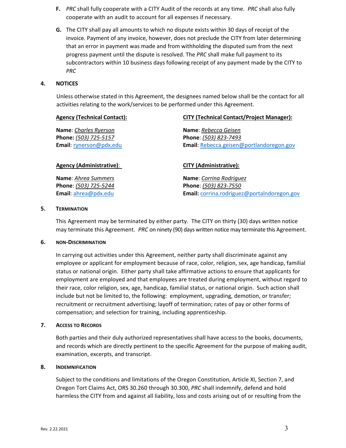- **F.** *PRC* shall fully cooperate with a CITY Audit of the records at any time. *PRC* shall also fully cooperate with an audit to account for all expenses if necessary.
- **G.** The CITY shall pay all amounts to which no dispute exists within 30 days of receipt of the invoice. Payment of any invoice, however, does not preclude the CITY from later determining that an error in payment was made and from withholding the disputed sum from the next progress payment until the dispute is resolved. The *PRC* shall make full payment to its subcontractors within 10 business days following receipt of any payment made by the CITY to *PRC*

## **4. NOTICES**

Unless otherwise stated in this Agreement, the designees named below shall be the contact for all activities relating to the work/services to be performed under this Agreement.

| <b>Agency (Technical Contact):</b> | <b>CITY (Technical Contact/Project Manager):</b> |
|------------------------------------|--------------------------------------------------|
| <b>Name:</b> Charles Ryerson       | Name: Rebecca Geisen                             |
| Phone: (503) 725-5157              | Phone: (503) 823-7493                            |
| Email: rynerson@pdx.edu            | Email: Rebecca.geisen@portlandoregon.gov         |
| <b>Agency (Administrative):</b>    | <b>CITY (Administrative):</b>                    |
| Name: Ahrea Summers                | Name: Corrina Rodriguez                          |
| Phone: (503) 725-5244              | Phone: (503) 823-7550                            |

#### **5. TERMINATION**

This Agreement may be terminated by either party. The CITY on thirty (30) days written notice may terminate this Agreement.*PRC* on ninety (90) days written notice may terminate this Agreement.

**Email**: [ahrea@pdx.edu](mailto:ahrea@pdx.edu) **Email:** [corrina.rodriguez@portalndoregon.gov](mailto:corrina.rodriguez@portalndoregon.gov)

#### **6. NON-DISCRIMINATION**

In carrying out activities under this Agreement, neither party shall discriminate against any employee or applicant for employment because of race, color, religion, sex, age handicap, familial status or national origin. Either party shall take affirmative actions to ensure that applicants for employment are employed and that employees are treated during employment, without regard to their race, color religion, sex, age, handicap, familial status, or national origin. Such action shall include but not be limited to, the following: employment, upgrading, demotion, or transfer; recruitment or recruitment advertising; layoff of termination; rates of pay or other forms of compensation; and selection for training, including apprenticeship.

#### **7. ACCESS TO RECORDS**

Both parties and their duly authorized representatives shall have access to the books, documents, and records which are directly pertinent to the specific Agreement for the purpose of making audit, examination, excerpts, and transcript.

#### **8. INDEMNIFICATION**

Subject to the conditions and limitations of the Oregon Constitution, Article XI, Section 7, and Oregon Tort Claims Act, ORS 30.260 through 30.300, *PRC* shall indemnify, defend and hold harmless the CITY from and against all liability, loss and costs arising out of or resulting from the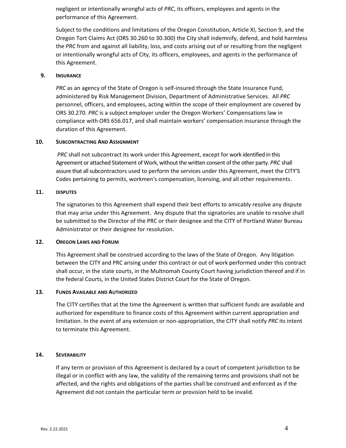negligent or intentionally wrongful acts of *PRC*, its officers, employees and agents in the performance of this Agreement.

Subject to the conditions and limitations of the Oregon Constitution, Article XI, Section 9, and the Oregon Tort Claims Act (ORS 30.260 to 30.300) the City shall indemnify, defend, and hold harmless the *PRC* from and against all liability, loss, and costs arising out of or resulting from the negligent or intentionally wrongful acts of City, its officers, employees, and agents in the performance of this Agreement.

#### **9. INSURANCE**

*PRC* as an agency of the State of Oregon is self-insured through the State Insurance Fund, administered by Risk Management Division, Department of Administrative Services. All *PRC* personnel, officers, and employees, acting within the scope of their employment are covered by ORS 30.270. *PRC* is a subject employer under the Oregon Workers' Compensations law in compliance with ORS 656.017, and shall maintain workers' compensation insurance through the duration of this Agreement.

## **10. SUBCONTRACTING AND ASSIGNMENT**

*PRC* shall not subcontract its work under this Agreement, except for work identified in this Agreement or attached Statement of Work, without the written consent of the other party. *PRC* shall assure that all subcontractors used to perform the services under this Agreement, meet the CITY'S Codes pertaining to permits, workmen's compensation, licensing, and all other requirements.

## **11. DISPUTES**

The signatories to this Agreement shall expend their best efforts to amicably resolve any dispute that may arise under this Agreement. Any dispute that the signatories are unable to resolve shall be submitted to the Director of the PRC or their designee and the CITY of Portland Water Bureau Administrator or their designee for resolution.

#### **12. OREGON LAWS AND FORUM**

This Agreement shall be construed according to the laws of the State of Oregon. Any litigation between the CITY and PRC arising under this contract or out of work performed under this contract shall occur, in the state courts, in the Multnomah County Court having jurisdiction thereof and if in the federal Courts, in the United States District Court for the State of Oregon.

#### **13. FUNDS AVAILABLE AND AUTHORIZED**

The CITY certifies that at the time the Agreement is written that sufficient funds are available and authorized for expenditure to finance costs of this Agreement within current appropriation and limitation. In the event of any extension or non-appropriation, the CITY shall notify *PRC* its intent to terminate this Agreement.

## **14. SEVERABILITY**

If any term or provision of this Agreement is declared by a court of competent jurisdiction to be illegal or in conflict with any law, the validity of the remaining terms and provisions shall not be affected, and the rights and obligations of the parties shall be construed and enforced as if the Agreement did not contain the particular term or provision held to be invalid.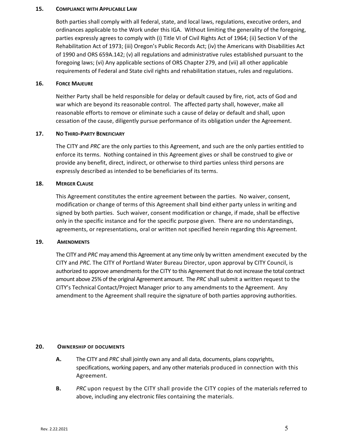#### **15. COMPLIANCE WITH APPLICABLE LAW**

Both parties shall comply with all federal, state, and local laws, regulations, executive orders, and ordinances applicable to the Work under this IGA. Without limiting the generality of the foregoing, parties expressly agrees to comply with (i) Title VI of Civil Rights Act of 1964; (ii) Section V of the Rehabilitation Act of 1973; (iii) Oregon's Public Records Act; (iv) the Americans with Disabilities Act of 1990 and ORS 659A.142; (v) all regulations and administrative rules established pursuant to the foregoing laws; (vi) Any applicable sections of ORS Chapter 279, and (vii) all other applicable requirements of Federal and State civil rights and rehabilitation statues, rules and regulations.

#### **16. FORCE MAJEURE**

Neither Party shall be held responsible for delay or default caused by fire, riot, acts of God and war which are beyond its reasonable control. The affected party shall, however, make all reasonable efforts to remove or eliminate such a cause of delay or default and shall, upon cessation of the cause, diligently pursue performance of its obligation under the Agreement.

## **17. NO THIRD-PARTY BENEFICIARY**

The CITY and *PRC* are the only parties to this Agreement, and such are the only parties entitled to enforce its terms. Nothing contained in this Agreement gives or shall be construed to give or provide any benefit, direct, indirect, or otherwise to third parties unless third persons are expressly described as intended to be beneficiaries of its terms.

#### **18. MERGER CLAUSE**

This Agreement constitutes the entire agreement between the parties. No waiver, consent, modification or change of terms of this Agreement shall bind either party unless in writing and signed by both parties. Such waiver, consent modification or change, if made, shall be effective only in the specific instance and for the specific purpose given. There are no understandings, agreements, or representations, oral or written not specified herein regarding this Agreement.

#### **19. AMENDMENTS**

The CITY and *PRC* may amend this Agreement at any time only by written amendment executed by the CITY and *PRC*. The CITY of Portland Water Bureau Director, upon approval by CITY Council, is authorized to approve amendments for the CITY to this Agreement that do not increase the total contract amount above 25% of the original Agreement amount. The *PRC* shall submit a written request to the CITY's Technical Contact/Project Manager prior to any amendments to the Agreement. Any amendment to the Agreement shall require the signature of both parties approving authorities.

#### **20. OWNERSHIP OF DOCUMENTS**

- **A.** The CITY and *PRC* shall jointly own any and all data, documents, plans copyrights, specifications, working papers, and any other materials produced in connection with this Agreement.
- **B.** *PRC* upon request by the CITY shall provide the CITY copies of the materials referred to above, including any electronic files containing the materials.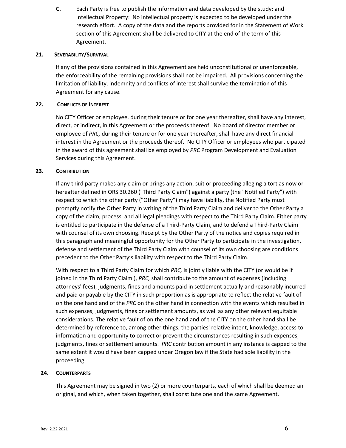**C.** Each Party is free to publish the information and data developed by the study; and Intellectual Property: No intellectual property is expected to be developed under the research effort. A copy of the data and the reports provided for in the Statement of Work section of this Agreement shall be delivered to CITY at the end of the term of this Agreement.

## **21. SEVERABILITY/SURVIVAL**

If any of the provisions contained in this Agreement are held unconstitutional or unenforceable, the enforceability of the remaining provisions shall not be impaired. All provisions concerning the limitation of liability, indemnity and conflicts of interest shall survive the termination of this Agreement for any cause.

## **22. CONFLICTS OF INTEREST**

No CITY Officer or employee, during their tenure or for one year thereafter, shall have any interest, direct, or indirect, in this Agreement or the proceeds thereof. No board of director member or employee of *PRC,* during their tenure or for one year thereafter, shall have any direct financial interest in the Agreement or the proceeds thereof. No CITY Officer or employees who participated in the award of this agreement shall be employed by *PRC* Program Development and Evaluation Services during this Agreement.

## **23. CONTRIBUTION**

If any third party makes any claim or brings any action, suit or proceeding alleging a tort as now or hereafter defined in ORS 30.260 ("Third Party Claim") against a party (the "Notified Party") with respect to which the other party ("Other Party") may have liability, the Notified Party must promptly notify the Other Party in writing of the Third Party Claim and deliver to the Other Party a copy of the claim, process, and all legal pleadings with respect to the Third Party Claim. Either party is entitled to participate in the defense of a Third-Party Claim, and to defend a Third-Party Claim with counsel of its own choosing. Receipt by the Other Party of the notice and copies required in this paragraph and meaningful opportunity for the Other Party to participate in the investigation, defense and settlement of the Third Party Claim with counsel of its own choosing are conditions precedent to the Other Party's liability with respect to the Third Party Claim.

With respect to a Third Party Claim for which *PRC,* is jointly liable with the CITY (or would be if joined in the Third Party Claim ), *PRC,* shall contribute to the amount of expenses (including attorneys' fees), judgments, fines and amounts paid in settlement actually and reasonably incurred and paid or payable by the CITY in such proportion as is appropriate to reflect the relative fault of on the one hand and of the *PRC* on the other hand in connection with the events which resulted in such expenses, judgments, fines or settlement amounts, as well as any other relevant equitable considerations. The relative fault of on the one hand and of the CITY on the other hand shall be determined by reference to, among other things, the parties' relative intent, knowledge, access to information and opportunity to correct or prevent the circumstances resulting in such expenses, judgments, fines or settlement amounts. *PRC* contribution amount in any instance is capped to the same extent it would have been capped under Oregon law if the State had sole liability in the proceeding.

#### **24. COUNTERPARTS**

This Agreement may be signed in two (2) or more counterparts, each of which shall be deemed an original, and which, when taken together, shall constitute one and the same Agreement.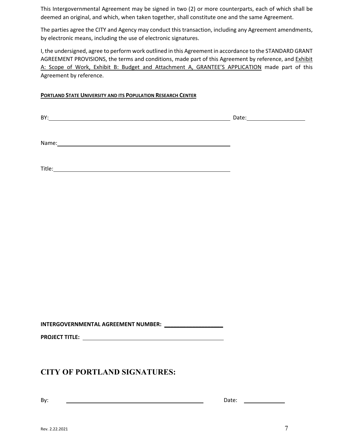This Intergovernmental Agreement may be signed in two (2) or more counterparts, each of which shall be deemed an original, and which, when taken together, shall constitute one and the same Agreement.

The parties agree the CITY and Agency may conduct this transaction, including any Agreement amendments, by electronic means, including the use of electronic signatures.

I, the undersigned, agree to perform work outlined in this Agreement in accordance to the STANDARD GRANT AGREEMENT PROVISIONS, the terms and conditions, made part of this Agreement by reference, and Exhibit A: Scope of Work, Exhibit B: Budget and Attachment A, GRANTEE'S APPLICATION made part of this Agreement by reference.

## **PORTLAND STATE UNIVERSITY AND ITS POPULATION RESEARCH CENTER**

BY: Date:

Name:

Title: which is a series of the contract of the contract of the contract of the contract of the contract of the contract of the contract of the contract of the contract of the contract of the contract of the contract of th

**INTERGOVERNMENTAL AGREEMENT NUMBER: \_\_\_\_\_\_\_\_\_\_\_\_\_\_\_\_\_\_\_**

**PROJECT TITLE:** 

# **CITY OF PORTLAND SIGNATURES:**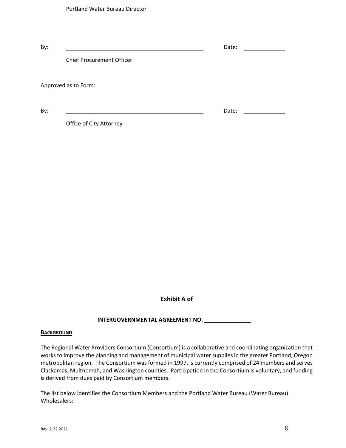| By: |                                  | Date: |  |  |  |
|-----|----------------------------------|-------|--|--|--|
|     | <b>Chief Procurement Officer</b> |       |  |  |  |
|     | Approved as to Form:             |       |  |  |  |
| By: |                                  | Date: |  |  |  |

Office of City Attorney

**Exhibit A of** 

## **INTERGOVERNMENTAL AGREEMENT NO. \_\_\_\_\_\_\_\_\_\_\_\_\_\_\_**

#### **BACKGROUND**

The Regional Water Providers Consortium (Consortium) is a collaborative and coordinating organization that works to improve the planning and management of municipal water supplies in the greater Portland, Oregon metropolitan region. The Consortium was formed in 1997, is currently comprised of 24 members and serves Clackamas, Multnomah, and Washington counties. Participation in the Consortium is voluntary, and funding is derived from dues paid by Consortium members.

The list below identifies the Consortium Members and the Portland Water Bureau (Water Bureau) Wholesalers: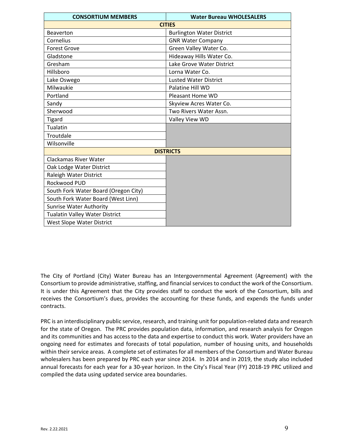| <b>CONSORTIUM MEMBERS</b>             | <b>Water Bureau WHOLESALERS</b>  |  |  |  |
|---------------------------------------|----------------------------------|--|--|--|
|                                       | <b>CITIES</b>                    |  |  |  |
| <b>Beaverton</b>                      | <b>Burlington Water District</b> |  |  |  |
| Cornelius                             | <b>GNR Water Company</b>         |  |  |  |
| <b>Forest Grove</b>                   | Green Valley Water Co.           |  |  |  |
| Gladstone                             | Hideaway Hills Water Co.         |  |  |  |
| Gresham                               | Lake Grove Water District        |  |  |  |
| Hillsboro                             | Lorna Water Co.                  |  |  |  |
| Lake Oswego                           | <b>Lusted Water District</b>     |  |  |  |
| Milwaukie                             | Palatine Hill WD                 |  |  |  |
| Portland                              | Pleasant Home WD                 |  |  |  |
| Sandy                                 | Skyview Acres Water Co.          |  |  |  |
| Sherwood                              | Two Rivers Water Assn.           |  |  |  |
| <b>Tigard</b>                         | Valley View WD                   |  |  |  |
| Tualatin                              |                                  |  |  |  |
| Troutdale                             |                                  |  |  |  |
| Wilsonville                           |                                  |  |  |  |
| <b>DISTRICTS</b>                      |                                  |  |  |  |
| <b>Clackamas River Water</b>          |                                  |  |  |  |
| Oak Lodge Water District              |                                  |  |  |  |
| Raleigh Water District                |                                  |  |  |  |
| Rockwood PUD                          |                                  |  |  |  |
| South Fork Water Board (Oregon City)  |                                  |  |  |  |
| South Fork Water Board (West Linn)    |                                  |  |  |  |
| <b>Sunrise Water Authority</b>        |                                  |  |  |  |
| <b>Tualatin Valley Water District</b> |                                  |  |  |  |
| <b>West Slope Water District</b>      |                                  |  |  |  |

The City of Portland (City) Water Bureau has an Intergovernmental Agreement (Agreement) with the Consortium to provide administrative, staffing, and financial services to conduct the work of the Consortium. It is under this Agreement that the City provides staff to conduct the work of the Consortium, bills and receives the Consortium's dues, provides the accounting for these funds, and expends the funds under contracts.

PRC is an interdisciplinary public service, research, and training unit for population-related data and research for the state of Oregon. The PRC provides population data, information, and research analysis for Oregon and its communities and has access to the data and expertise to conduct this work. Water providers have an ongoing need for estimates and forecasts of total population, number of housing units, and households within their service areas. A complete set of estimates for all members of the Consortium and Water Bureau wholesalers has been prepared by PRC each year since 2014. In 2014 and in 2019, the study also included annual forecasts for each year for a 30-year horizon. In the City's Fiscal Year (FY) 2018-19 PRC utilized and compiled the data using updated service area boundaries.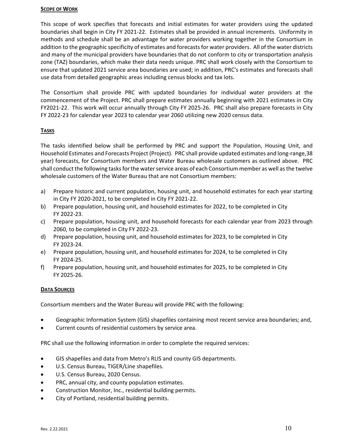#### **SCOPE OF WORK**

This scope of work specifies that forecasts and initial estimates for water providers using the updated boundaries shall begin in City FY 2021-22. Estimates shall be provided in annual increments. Uniformity in methods and schedule shall be an advantage for water providers working together in the Consortium in addition to the geographic specificity of estimates and forecasts for water providers. All of the water districts and many of the municipal providers have boundaries that do not conform to city or transportation analysis zone (TAZ) boundaries, which make their data needs unique. PRC shall work closely with the Consortium to ensure that updated 2021 service area boundaries are used; in addition, PRC's estimates and forecasts shall use data from detailed geographic areas including census blocks and tax lots.

The Consortium shall provide PRC with updated boundaries for individual water providers at the commencement of the Project. PRC shall prepare estimates annually beginning with 2021 estimates in City FY2021-22. This work will occur annually through City FY 2025-26. PRC shall also prepare forecasts in City FY 2022-23 for calendar year 2023 to calendar year 2060 utilizing new 2020 census data.

## **TASKS**

The tasks identified below shall be performed by PRC and support the Population, Housing Unit, and Household Estimates and Forecasts Project (Project). PRC shall provide updated estimates and long-range,38 year) forecasts, for Consortium members and Water Bureau wholesale customers as outlined above. PRC shall conduct the following tasks for the water service areas of each Consortium member as well as the twelve wholesale customers of the Water Bureau that are not Consortium members:

- a) Prepare historic and current population, housing unit, and household estimates for each year starting in City FY 2020-2021, to be completed in City FY 2021-22.
- b) Prepare population, housing unit, and household estimates for 2022, to be completed in City FY 2022-23.
- c) Prepare population, housing unit, and household forecasts for each calendar year from 2023 through 2060, to be completed in City FY 2022-23.
- d) Prepare population, housing unit, and household estimates for 2023, to be completed in City FY 2023-24.
- e) Prepare population, housing unit, and household estimates for 2024, to be completed in City FY 2024-25.
- f) Prepare population, housing unit, and household estimates for 2025, to be completed in City FY 2025-26.

## **DATA SOURCES**

Consortium members and the Water Bureau will provide PRC with the following:

- Geographic Information System (GIS) shapefiles containing most recent service area boundaries; and,
- Current counts of residential customers by service area.

PRC shall use the following information in order to complete the required services:

- GIS shapefiles and data from Metro's RLIS and county GIS departments.
- U.S. Census Bureau, TIGER/Line shapefiles.
- U.S. Census Bureau, 2020 Census.
- PRC, annual city, and county population estimates.
- Construction Monitor, Inc., residential building permits.
- City of Portland, residential building permits.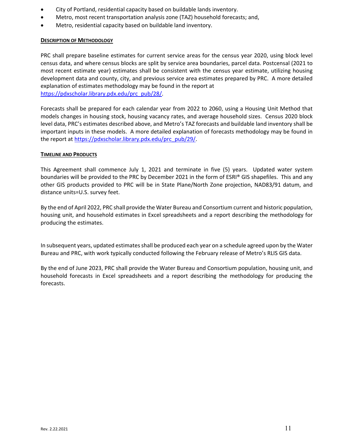- City of Portland, residential capacity based on buildable lands inventory.
- Metro, most recent transportation analysis zone (TAZ) household forecasts; and,
- Metro, residential capacity based on buildable land inventory.

## **DESCRIPTION OF METHODOLOGY**

PRC shall prepare baseline estimates for current service areas for the census year 2020, using block level census data, and where census blocks are split by service area boundaries, parcel data. Postcensal (2021 to most recent estimate year) estimates shall be consistent with the census year estimate, utilizing housing development data and county, city, and previous service area estimates prepared by PRC. A more detailed explanation of estimates methodology may be found in the report at [https://pdxscholar.library.pdx.edu/prc\\_pub/28/.](https://pdxscholar.library.pdx.edu/prc_pub/28/)

Forecasts shall be prepared for each calendar year from 2022 to 2060, using a Housing Unit Method that models changes in housing stock, housing vacancy rates, and average household sizes. Census 2020 block level data, PRC's estimates described above, and Metro's TAZ forecasts and buildable land inventory shall be important inputs in these models. A more detailed explanation of forecasts methodology may be found in the report at [https://pdxscholar.library.pdx.edu/prc\\_pub/29/.](https://pdxscholar.library.pdx.edu/prc_pub/29/)

## **TIMELINE AND PRODUCTS**

This Agreement shall commence July 1, 2021 and terminate in five (5) years. Updated water system boundaries will be provided to the PRC by December 2021 in the form of ESRI® GIS shapefiles. This and any other GIS products provided to PRC will be in State Plane/North Zone projection, NAD83/91 datum, and distance units=U.S. survey feet.

By the end of April 2022, PRC shall provide the Water Bureau and Consortium current and historic population, housing unit, and household estimates in Excel spreadsheets and a report describing the methodology for producing the estimates.

In subsequent years, updated estimates shall be produced each year on a schedule agreed upon by the Water Bureau and PRC, with work typically conducted following the February release of Metro's RLIS GIS data.

By the end of June 2023, PRC shall provide the Water Bureau and Consortium population, housing unit, and household forecasts in Excel spreadsheets and a report describing the methodology for producing the forecasts.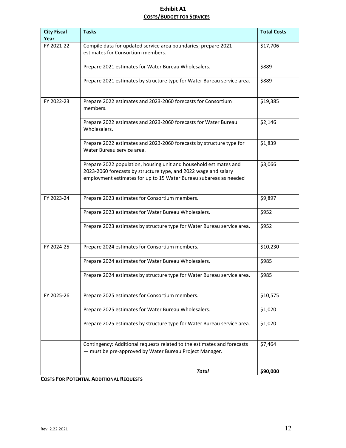## **Exhibit A1 COSTS/BUDGET FOR SERVICES**

| <b>City Fiscal</b><br>Year | <b>Tasks</b>                                                                                                                                                                                              | <b>Total Costs</b> |  |  |  |
|----------------------------|-----------------------------------------------------------------------------------------------------------------------------------------------------------------------------------------------------------|--------------------|--|--|--|
| FY 2021-22                 | Compile data for updated service area boundaries; prepare 2021<br>estimates for Consortium members.                                                                                                       | \$17,706           |  |  |  |
|                            | Prepare 2021 estimates for Water Bureau Wholesalers.                                                                                                                                                      |                    |  |  |  |
|                            | Prepare 2021 estimates by structure type for Water Bureau service area.                                                                                                                                   | \$889              |  |  |  |
| FY 2022-23                 | Prepare 2022 estimates and 2023-2060 forecasts for Consortium<br>members.                                                                                                                                 |                    |  |  |  |
|                            | Prepare 2022 estimates and 2023-2060 forecasts for Water Bureau<br>Wholesalers.                                                                                                                           | \$2,146            |  |  |  |
|                            | Prepare 2022 estimates and 2023-2060 forecasts by structure type for<br>Water Bureau service area.                                                                                                        | \$1,839            |  |  |  |
|                            | Prepare 2022 population, housing unit and household estimates and<br>2023-2060 forecasts by structure type, and 2022 wage and salary<br>employment estimates for up to 15 Water Bureau subareas as needed | \$3,066            |  |  |  |
| FY 2023-24                 | Prepare 2023 estimates for Consortium members.                                                                                                                                                            | \$9,897            |  |  |  |
|                            | Prepare 2023 estimates for Water Bureau Wholesalers.                                                                                                                                                      | \$952              |  |  |  |
|                            | Prepare 2023 estimates by structure type for Water Bureau service area.                                                                                                                                   | \$952              |  |  |  |
| FY 2024-25                 | Prepare 2024 estimates for Consortium members.                                                                                                                                                            | \$10,230           |  |  |  |
|                            | Prepare 2024 estimates for Water Bureau Wholesalers.                                                                                                                                                      | \$985              |  |  |  |
|                            | Prepare 2024 estimates by structure type for Water Bureau service area.                                                                                                                                   | \$985              |  |  |  |
| FY 2025-26                 | Prepare 2025 estimates for Consortium members.                                                                                                                                                            | \$10,575           |  |  |  |
|                            | Prepare 2025 estimates for Water Bureau Wholesalers.                                                                                                                                                      | \$1,020            |  |  |  |
|                            | Prepare 2025 estimates by structure type for Water Bureau service area.                                                                                                                                   | \$1,020            |  |  |  |
|                            | Contingency: Additional requests related to the estimates and forecasts<br>- must be pre-approved by Water Bureau Project Manager.                                                                        | \$7,464            |  |  |  |
|                            | <b>Total</b>                                                                                                                                                                                              | \$90,000           |  |  |  |

**COSTS FOR POTENTIAL ADDITIONAL REQUESTS**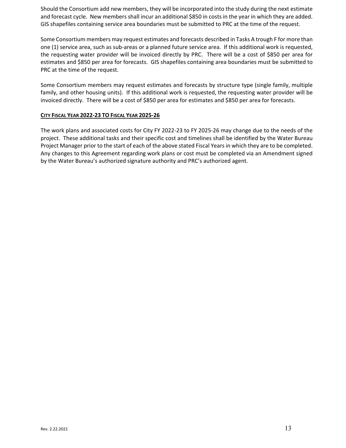Should the Consortium add new members, they will be incorporated into the study during the next estimate and forecast cycle. New members shall incur an additional \$850 in costs in the year in which they are added. GIS shapefiles containing service area boundaries must be submitted to PRC at the time of the request.

Some Consortium members may request estimates and forecasts described in Tasks A trough F for more than one (1) service area, such as sub-areas or a planned future service area. If this additional work is requested, the requesting water provider will be invoiced directly by PRC. There will be a cost of \$850 per area for estimates and \$850 per area for forecasts. GIS shapefiles containing area boundaries must be submitted to PRC at the time of the request.

Some Consortium members may request estimates and forecasts by structure type (single family, multiple family, and other housing units). If this additional work is requested, the requesting water provider will be invoiced directly. There will be a cost of \$850 per area for estimates and \$850 per area for forecasts.

## **CITY FISCAL YEAR 2022-23 TO FISCAL YEAR 2025-26**

The work plans and associated costs for City FY 2022-23 to FY 2025-26 may change due to the needs of the project. These additional tasks and their specific cost and timelines shall be identified by the Water Bureau Project Manager prior to the start of each of the above stated Fiscal Years in which they are to be completed. Any changes to this Agreement regarding work plans or cost must be completed via an Amendment signed by the Water Bureau's authorized signature authority and PRC's authorized agent.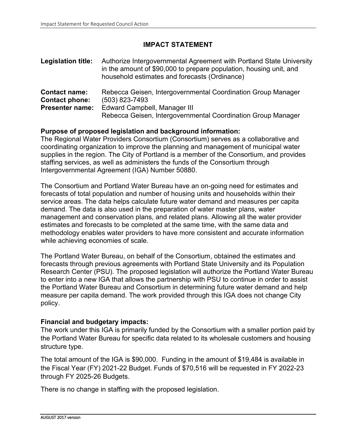# **IMPACT STATEMENT**

| <b>Legislation title:</b>              | Authorize Intergovernmental Agreement with Portland State University<br>in the amount of \$90,000 to prepare population, housing unit, and<br>household estimates and forecasts (Ordinance) |
|----------------------------------------|---------------------------------------------------------------------------------------------------------------------------------------------------------------------------------------------|
| <b>Contact name:</b><br>Contact phone: | Rebecca Geisen, Intergovernmental Coordination Group Manager<br>(503) 823-7493                                                                                                              |
| <b>Presenter name:</b>                 | <b>Edward Campbell, Manager III</b><br>Rebecca Geisen, Intergovernmental Coordination Group Manager                                                                                         |

# **Purpose of proposed legislation and background information:**

The Regional Water Providers Consortium (Consortium) serves as a collaborative and coordinating organization to improve the planning and management of municipal water supplies in the region. The City of Portland is a member of the Consortium, and provides staffing services, as well as administers the funds of the Consortium through Intergovernmental Agreement (IGA) Number 50880.

The Consortium and Portland Water Bureau have an on-going need for estimates and forecasts of total population and number of housing units and households within their service areas. The data helps calculate future water demand and measures per capita demand. The data is also used in the preparation of water master plans, water management and conservation plans, and related plans. Allowing all the water provider estimates and forecasts to be completed at the same time, with the same data and methodology enables water providers to have more consistent and accurate information while achieving economies of scale.

The Portland Water Bureau, on behalf of the Consortium, obtained the estimates and forecasts through previous agreements with Portland State University and its Population Research Center (PSU). The proposed legislation will authorize the Portland Water Bureau to enter into a new IGA that allows the partnership with PSU to continue in order to assist the Portland Water Bureau and Consortium in determining future water demand and help measure per capita demand. The work provided through this IGA does not change City policy.

# **Financial and budgetary impacts:**

The work under this IGA is primarily funded by the Consortium with a smaller portion paid by the Portland Water Bureau for specific data related to its wholesale customers and housing structure type.

The total amount of the IGA is \$90,000. Funding in the amount of \$19,484 is available in the Fiscal Year (FY) 2021-22 Budget. Funds of \$70,516 will be requested in FY 2022-23 through FY 2025-26 Budgets.

There is no change in staffing with the proposed legislation.